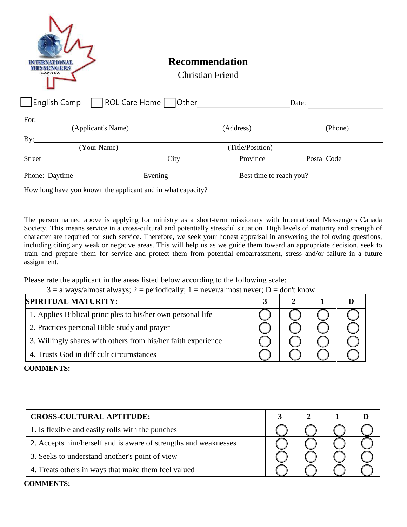| <b>SENGERS</b><br><b>CANADA</b>                              | <b>Recommendation</b><br><b>Christian Friend</b> |                  |         |
|--------------------------------------------------------------|--------------------------------------------------|------------------|---------|
| English Camp TROL Care Home Other                            |                                                  |                  | Date:   |
| For: $\qquad \qquad$                                         |                                                  |                  |         |
| (Applicant's Name)                                           |                                                  | (Address)        | (Phone) |
| By:                                                          |                                                  |                  |         |
| (Your Name)                                                  |                                                  | (Title/Position) |         |
| Street Postal Code Report City Province Province Postal Code |                                                  |                  |         |
| Phone: Daytime                                               |                                                  |                  |         |

How long have you known the applicant and in what capacity?

The person named above is applying for ministry as a short-term missionary with International Messengers Canada Society. This means service in a cross-cultural and potentially stressful situation. High levels of maturity and strength of character are required for such service. Therefore, we seek your honest appraisal in answering the following questions, including citing any weak or negative areas. This will help us as we guide them toward an appropriate decision, seek to train and prepare them for service and protect them from potential embarrassment, stress and/or failure in a future assignment.

Please rate the applicant in the areas listed below according to the following scale:

 $3 =$  always/almost always; 2 = periodically; 1 = never/almost never; D = don't know

| <b>SPIRITUAL MATURITY:</b>                                    |  |  |
|---------------------------------------------------------------|--|--|
| 1. Applies Biblical principles to his/her own personal life   |  |  |
| 2. Practices personal Bible study and prayer                  |  |  |
| 3. Willingly shares with others from his/her faith experience |  |  |
| 4. Trusts God in difficult circumstances                      |  |  |

## **COMMENTS:**

| <b>CROSS-CULTURAL APTITUDE:</b>                                 |  |  |
|-----------------------------------------------------------------|--|--|
| 1. Is flexible and easily rolls with the punches                |  |  |
| 2. Accepts him/herself and is aware of strengths and weaknesses |  |  |
| 3. Seeks to understand another's point of view                  |  |  |
| 4. Treats others in ways that make them feel valued             |  |  |

## **COMMENTS:**